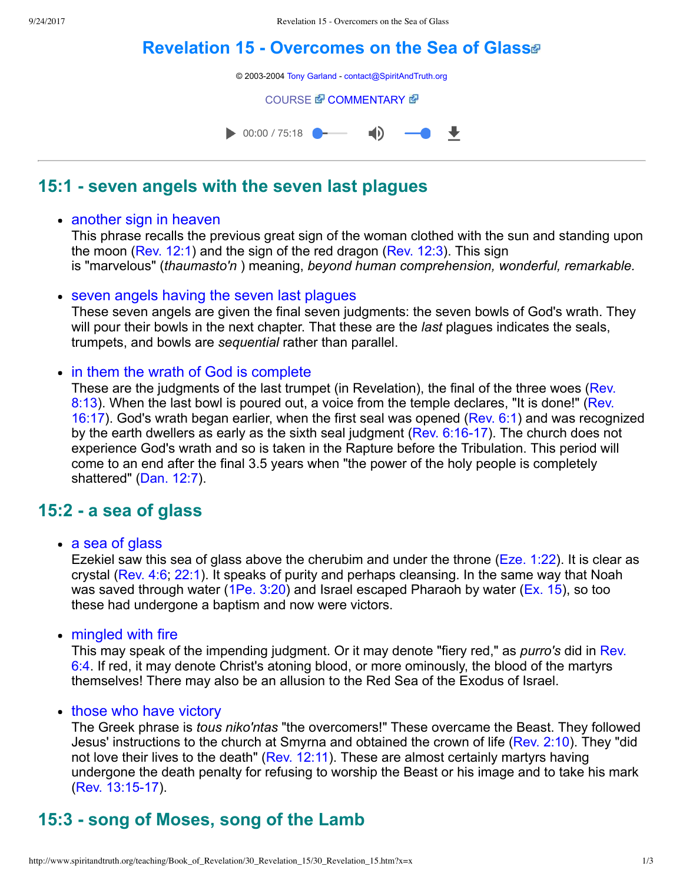# **[Revelation 15 Overcomes on the Sea of Glass](http://www.spiritandtruth.org/teaching/Book_of_Revelation/30_Revelation_15/index.htm)**

© 2003-2004 [Tony Garland](http://www.spiritandtruth.org/teaching/teachers/tony_garland/bio.htm) - [contact@SpiritAndTruth.org](mailto:contact@SpiritAndTruth.org?subject=ST-MAIL:%20Revelation%2015%20-%20Overcomers%20on%20the%20Sea%20of%20Glass)

**[COURSE](http://www.spiritandtruth.org/teaching/Book_of_Revelation/30_Revelation_15/index.htm) & [COMMENTARY](http://www.spiritandtruth.org/teaching/Book_of_Revelation/commentary/htm/index.html?Revelation_15) &** 



## **15:1 seven angels with the seven last plagues**

### • another sign in heaven

This phrase recalls the previous great sign of the woman clothed with the sun and standing upon the moon [\(Rev. 12:1\)](http://www.spiritandtruth.org/bibles/nasb/b66c012.htm#Rev._C12V1) and the sign of the red dragon ([Rev. 12:3](http://www.spiritandtruth.org/bibles/nasb/b66c012.htm#Rev._C12V3)). This sign is "marvelous" (*thaumasto'n* ) meaning, *beyond human comprehension, wonderful, remarkable.*

### • seven angels having the seven last plagues

These seven angels are given the final seven judgments: the seven bowls of God's wrath. They will pour their bowls in the next chapter. That these are the *last* plagues indicates the seals, trumpets, and bowls are *sequential* rather than parallel.

### • in them the wrath of God is complete

[These are the judgments of the last trumpet \(in Revelation\), the final of the three woes \(Rev.](http://www.spiritandtruth.org/bibles/nasb/b66c008.htm#Rev._C8V13) [8:13\). When the last bowl is poured out, a voice from the temple declares, "It is done!" \(Rev.](http://www.spiritandtruth.org/bibles/nasb/b66c016.htm#Rev._C16V17) 16:17). God's wrath began earlier, when the first seal was opened [\(Rev. 6:1](http://www.spiritandtruth.org/bibles/nasb/b66c006.htm#Rev._C6V1)) and was recognized by the earth dwellers as early as the sixth seal judgment ( $Rev. 6:16-17$ ). The church does not experience God's wrath and so is taken in the Rapture before the Tribulation. This period will come to an end after the final 3.5 years when "the power of the holy people is completely shattered" ([Dan. 12:7\)](http://www.spiritandtruth.org/bibles/nasb/b27c012.htm#Dan._C12V7).

# **15:2 a sea of glass**

### • a sea of glass

Ezekiel saw this sea of glass above the cherubim and under the throne ([Eze. 1:22\)](http://www.spiritandtruth.org/bibles/nasb/b26c001.htm#Eze._C1V22). It is clear as crystal [\(Rev. 4:6;](http://www.spiritandtruth.org/bibles/nasb/b66c004.htm#Rev._C4V6) [22:1\)](http://www.spiritandtruth.org/bibles/nasb/b66c022.htm#Rev._C22V1). It speaks of purity and perhaps cleansing. In the same way that Noah was saved through water ([1Pe. 3:20](http://www.spiritandtruth.org/bibles/nasb/b60c003.htm#1Pe._C3V20)) and Israel escaped Pharaoh by water ([Ex. 15\)](http://www.spiritandtruth.org/bibles/nasb/b02c015.htm#Ex._C15V1), so too these had undergone a baptism and now were victors.

• mingled with fire

This may speak of the impending judgment. Or it may denote "fiery red," as *purro's* did in Rev. [6:4. If red, it may denote Christ's atoning blood, or more ominously, the blood of the martyrs](http://www.spiritandtruth.org/bibles/nasb/b66c006.htm#Rev._C6V4) themselves! There may also be an allusion to the Red Sea of the Exodus of Israel.

### • those who have victory

The Greek phrase is *tous niko'ntas* "the overcomers!" These overcame the Beast. They followed Jesus' instructions to the church at Smyrna and obtained the crown of life [\(Rev. 2:10\)](http://www.spiritandtruth.org/bibles/nasb/b66c002.htm#Rev._C2V10). They "did not love their lives to the death" [\(Rev. 12:11](http://www.spiritandtruth.org/bibles/nasb/b66c012.htm#Rev._C12V11)). These are almost certainly martyrs having undergone the death penalty for refusing to worship the Beast or his image and to take his mark (Rev. 13:15-17).

# **15:3 song of Moses, song of the Lamb**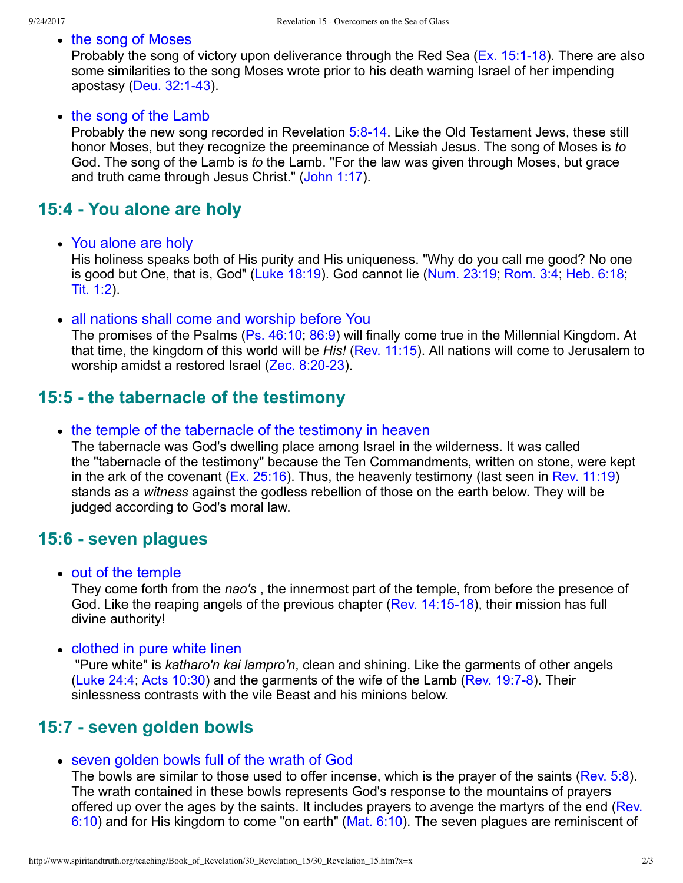• the song of Moses

Probably the song of victory upon deliverance through the Red Sea ( $Ex. 15:1-18$ ). There are also some similarities to the song Moses wrote prior to his death warning Israel of her impending apostasy (Deu.  $32:1-43$ ).

#### • the song of the Lamb

Probably the new song recorded in Revelation 5:8-14. Like the Old Testament Jews, these still honor Moses, but they recognize the preeminance of Messiah Jesus. The song of Moses is *to* God. The song of the Lamb is *to* the Lamb. "For the law was given through Moses, but grace and truth came through Jesus Christ." ([John 1:17](http://www.spiritandtruth.org/bibles/nasb/b43c001.htm#John_C1V17)).

## **15:4 You alone are holy**

You alone are holy

His holiness speaks both of His purity and His uniqueness. "Why do you call me good? No one is good but One, that is, God" [\(Luke 18:19\)](http://www.spiritandtruth.org/bibles/nasb/b42c018.htm#Luke_C18V19). God cannot lie [\(Num. 23:19](http://www.spiritandtruth.org/bibles/nasb/b04c023.htm#Num._C23V19); [Rom. 3:4;](http://www.spiritandtruth.org/bibles/nasb/b45c003.htm#Rom._C3V4) [Heb. 6:18](http://www.spiritandtruth.org/bibles/nasb/b58c006.htm#Heb._C6V18); [Tit. 1:2](http://www.spiritandtruth.org/bibles/nasb/b56c001.htm#Tit._C1V2)).

all nations shall come and worship before You

The promises of the Psalms [\(Ps. 46:10;](http://www.spiritandtruth.org/bibles/nasb/b19c046.htm#Ps._C46V10) [86:9](http://www.spiritandtruth.org/bibles/nasb/b19c086.htm#Ps._C86V9)) will finally come true in the Millennial Kingdom. At that time, the kingdom of this world will be *His!* ([Rev. 11:15\)](http://www.spiritandtruth.org/bibles/nasb/b66c011.htm#Rev._C11V15). All nations will come to Jerusalem to worship amidst a restored Israel  $(Zec. 8:20-23)$ .

## **15:5 the tabernacle of the testimony**

• the temple of the tabernacle of the testimony in heaven

The tabernacle was God's dwelling place among Israel in the wilderness. It was called the "tabernacle of the testimony" because the Ten Commandments, written on stone, were kept in the ark of the covenant ( $Ex. 25:16$ ). Thus, the heavenly testimony (last seen in [Rev. 11:19\)](http://www.spiritandtruth.org/bibles/nasb/b66c011.htm#Rev._C11V19) stands as a *witness* against the godless rebellion of those on the earth below. They will be judged according to God's moral law.

### **15:6 seven plagues**

• out of the temple

They come forth from the *nao's* , the innermost part of the temple, from before the presence of God. Like the reaping angels of the previous chapter (Rev. 14:15-18), their mission has full divine authority!

• clothed in pure white linen

 "Pure white" is *katharo'n kai lampro'n*, clean and shining. Like the garments of other angels [\(Luke 24:4;](http://www.spiritandtruth.org/bibles/nasb/b42c024.htm#Luke_C24V4) [Acts 10:30](http://www.spiritandtruth.org/bibles/nasb/b44c010.htm#Acts_C10V30)) and the garments of the wife of the Lamb (Rev. 19:7-8). Their sinlessness contrasts with the vile Beast and his minions below.

## **15:7 seven golden bowls**

#### seven golden bowls full of the wrath of God

The bowls are similar to those used to offer incense, which is the prayer of the saints [\(Rev. 5:8](http://www.spiritandtruth.org/bibles/nasb/b66c005.htm#Rev._C5V8)). The wrath contained in these bowls represents God's response to the mountains of prayers [offered up over the ages by the saints. It includes prayers to avenge the martyrs of the end \(Rev.](http://www.spiritandtruth.org/bibles/nasb/b66c006.htm#Rev._C6V10) 6:10) and for His kingdom to come "on earth" ([Mat. 6:10\)](http://www.spiritandtruth.org/bibles/nasb/b40c006.htm#Mat._C6V10). The seven plagues are reminiscent of